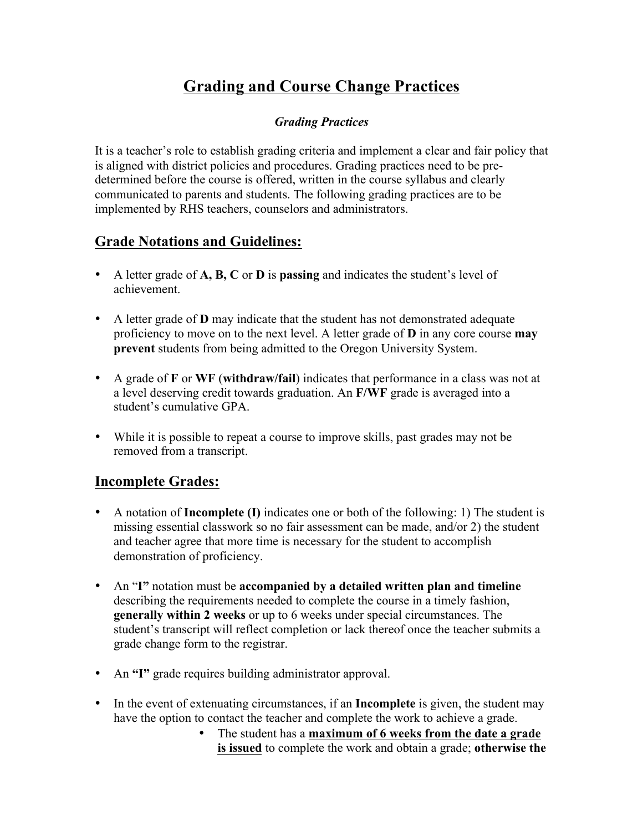# **Grading and Course Change Practices**

#### *Grading Practices*

It is a teacher's role to establish grading criteria and implement a clear and fair policy that is aligned with district policies and procedures. Grading practices need to be predetermined before the course is offered, written in the course syllabus and clearly communicated to parents and students. The following grading practices are to be implemented by RHS teachers, counselors and administrators.

## **Grade Notations and Guidelines:**

- A letter grade of **A, B, C** or **D** is **passing** and indicates the student's level of achievement.
- A letter grade of **D** may indicate that the student has not demonstrated adequate proficiency to move on to the next level. A letter grade of **D** in any core course **may prevent** students from being admitted to the Oregon University System.
- A grade of **F** or **WF** (**withdraw/fail**) indicates that performance in a class was not at a level deserving credit towards graduation. An **F/WF** grade is averaged into a student's cumulative GPA.
- While it is possible to repeat a course to improve skills, past grades may not be removed from a transcript.

## **Incomplete Grades:**

- A notation of **Incomplete (I)** indicates one or both of the following: 1) The student is missing essential classwork so no fair assessment can be made, and/or 2) the student and teacher agree that more time is necessary for the student to accomplish demonstration of proficiency.
- An "**I"** notation must be **accompanied by a detailed written plan and timeline** describing the requirements needed to complete the course in a timely fashion, **generally within 2 weeks** or up to 6 weeks under special circumstances. The student's transcript will reflect completion or lack thereof once the teacher submits a grade change form to the registrar.
- An **"I"** grade requires building administrator approval.
- In the event of extenuating circumstances, if an **Incomplete** is given, the student may have the option to contact the teacher and complete the work to achieve a grade.
	- The student has a **maximum of 6 weeks from the date a grade is issued** to complete the work and obtain a grade; **otherwise the**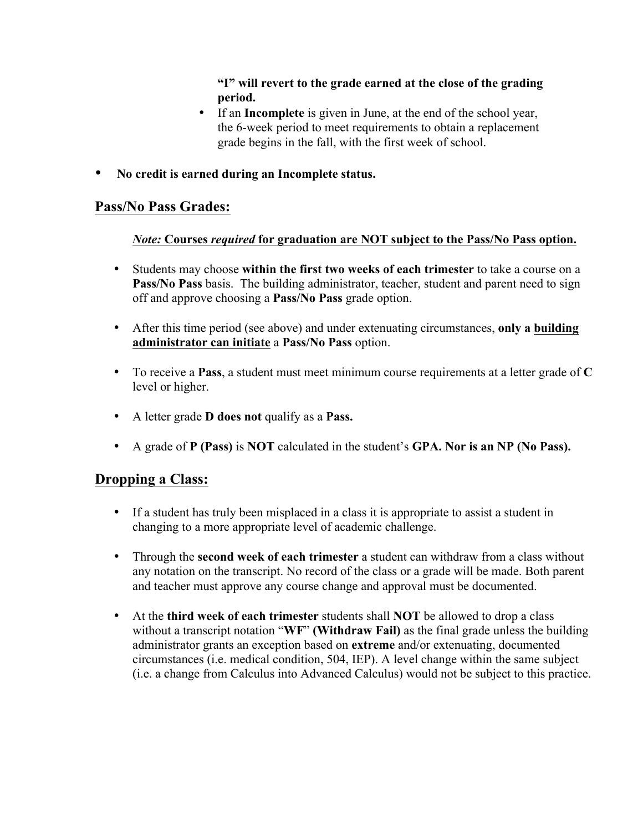**"I" will revert to the grade earned at the close of the grading period.**

- If an **Incomplete** is given in June, at the end of the school year, the 6-week period to meet requirements to obtain a replacement grade begins in the fall, with the first week of school.
- **No credit is earned during an Incomplete status.**

#### **Pass/No Pass Grades:**

#### *Note:* **Courses** *required* **for graduation are NOT subject to the Pass/No Pass option.**

- Students may choose **within the first two weeks of each trimester** to take a course on a **Pass/No Pass** basis. The building administrator, teacher, student and parent need to sign off and approve choosing a **Pass/No Pass** grade option.
- After this time period (see above) and under extenuating circumstances, **only a building administrator can initiate** a **Pass/No Pass** option.
- To receive a **Pass**, a student must meet minimum course requirements at a letter grade of **C** level or higher.
- A letter grade **D does not** qualify as a **Pass.**
- A grade of **P (Pass)** is **NOT** calculated in the student's **GPA. Nor is an NP (No Pass).**

## **Dropping a Class:**

- If a student has truly been misplaced in a class it is appropriate to assist a student in changing to a more appropriate level of academic challenge.
- Through the **second week of each trimester** a student can withdraw from a class without any notation on the transcript. No record of the class or a grade will be made. Both parent and teacher must approve any course change and approval must be documented.
- At the **third week of each trimester** students shall **NOT** be allowed to drop a class without a transcript notation "**WF**" **(Withdraw Fail)** as the final grade unless the building administrator grants an exception based on **extreme** and/or extenuating, documented circumstances (i.e. medical condition, 504, IEP). A level change within the same subject (i.e. a change from Calculus into Advanced Calculus) would not be subject to this practice.